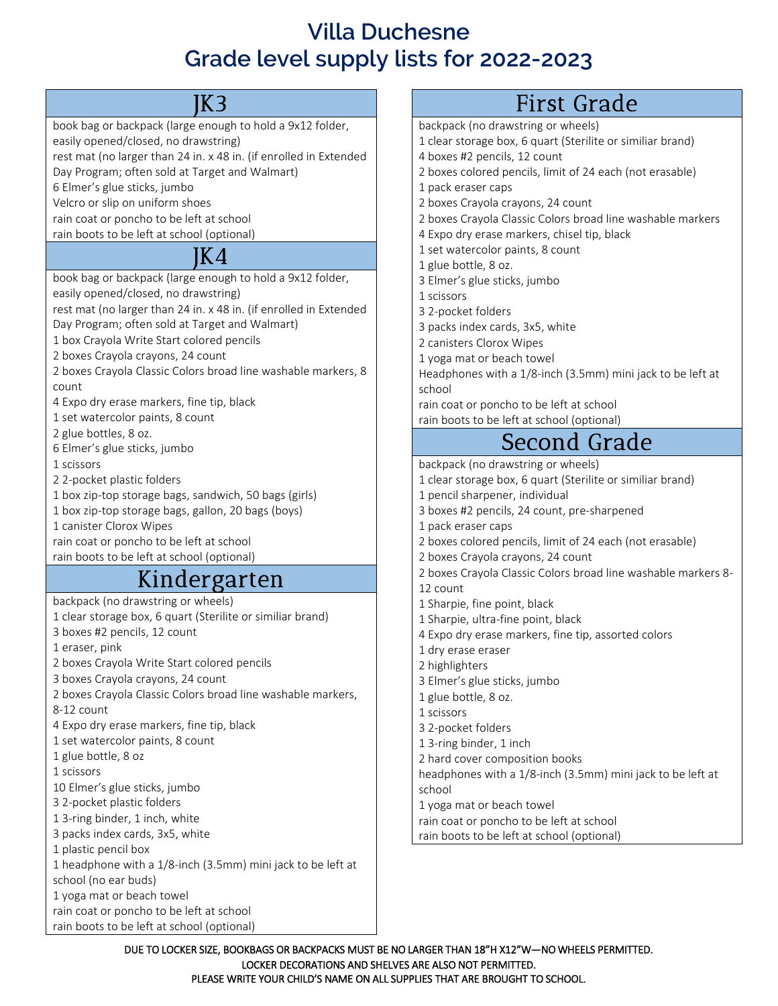## **Villa Duchesne Grade level supply lists for 2022-2023**

#### JK3

book bag or backpack (large enough to hold a 9x12 folder, easily opened/closed, no drawstring) rest mat (no larger than 24 in. x 48 in. (if enrolled in Extended Day Program; often sold at Target and Walmart)

6 Elmer's glue sticks, jumbo

Velcro or slip on uniform shoes

rain coat or poncho to be left at school

rain boots to be left at school (optional)

#### JK4

book bag or backpack (large enough to hold a 9x12 folder,

easily opened/closed, no drawstring)

rest mat (no larger than 24 in. x 48 in. (if enrolled in Extended Day Program; often sold at Target and Walmart)

1 box Crayola Write Start colored pencils

2 boxes Crayola crayons, 24 count

2 boxes Crayola Classic Colors broad line washable markers, 8 count

4 Expo dry erase markers, fine tip, black

1 set watercolor paints, 8 count

2 glue bottles, 8 oz.

6 Elmer's glue sticks, jumbo

1 scissors

2 2-pocket plastic folders

1 box zip-top storage bags, sandwich, 50 bags (girls)

1 box zip-top storage bags, gallon, 20 bags (boys)

1 canister Clorox Wipes

rain coat or poncho to be left at school

rain boots to be left at school (optional)

## Kindergarten

backpack (no drawstring or wheels)

1 clear storage box, 6 quart (Sterilite or similiar brand) 3 boxes #2 pencils, 12 count

1 eraser, pink

2 boxes Crayola Write Start colored pencils

3 boxes Crayola crayons, 24 count

2 boxes Crayola Classic Colors broad line washable markers,

8-12 count

4 Expo dry erase markers, fine tip, black

1 set watercolor paints, 8 count

1 glue bottle, 8 oz

1 scissors

10 Elmer's glue sticks, jumbo

3 2-pocket plastic folders

1 3-ring binder, 1 inch, white

3 packs index cards, 3x5, white

1 plastic pencil box

1 headphone with a 1/8-inch (3.5mm) mini jack to be left at

school (no ear buds)

1 yoga mat or beach towel

rain coat or poncho to be left at school

rain boots to be left at school (optional)

# First Grade

backpack (no drawstring or wheels)

1 clear storage box, 6 quart (Sterilite or similiar brand)

4 boxes #2 pencils, 12 count

2 boxes colored pencils, limit of 24 each (not erasable)

- 1 pack eraser caps
- 2 boxes Crayola crayons, 24 count
- 2 boxes Crayola Classic Colors broad line washable markers
- 4 Expo dry erase markers, chisel tip, black
- 1 set watercolor paints, 8 count
- 1 glue bottle, 8 oz.
- 3 Elmer's glue sticks, jumbo
- 1 scissors
- 3 2-pocket folders
- 3 packs index cards, 3x5, white
- 2 canisters Clorox Wipes

1 yoga mat or beach towel

Headphones with a 1/8-inch (3.5mm) mini jack to be left at school

rain coat or poncho to be left at school

rain boots to be left at school (optional)

# Second Grade

backpack (no drawstring or wheels)

- 1 clear storage box, 6 quart (Sterilite or similiar brand)
- 1 pencil sharpener, individual
- 3 boxes #2 pencils, 24 count, pre-sharpened
- 1 pack eraser caps
- 2 boxes colored pencils, limit of 24 each (not erasable)
- 2 boxes Crayola crayons, 24 count
- 2 boxes Crayola Classic Colors broad line washable markers 8-
- 12 count
- 1 Sharpie, fine point, black
- 1 Sharpie, ultra-fine point, black
- 4 Expo dry erase markers, fine tip, assorted colors
- 1 dry erase eraser
- 2 highlighters
- 3 Elmer's glue sticks, jumbo
- 1 glue bottle, 8 oz.
- 1 scissors
- 3 2-pocket folders
- 1 3-ring binder, 1 inch
- 2 hard cover composition books

headphones with a 1/8-inch (3.5mm) mini jack to be left at school

1 yoga mat or beach towel

rain coat or poncho to be left at school

rain boots to be left at school (optional)

DUE TO LOCKER SIZE, BOOKBAGS OR BACKPACKS MUST BE NO LARGER THAN 18"H X12"W—NO WHEELS PERMITTED. LOCKER DECORATIONS AND SHELVES ARE ALSO NOT PERMITTED. PLEASE WRITE YOUR CHILD'S NAME ON ALL SUPPLIES THAT ARE BROUGHT TO SCHOOL.